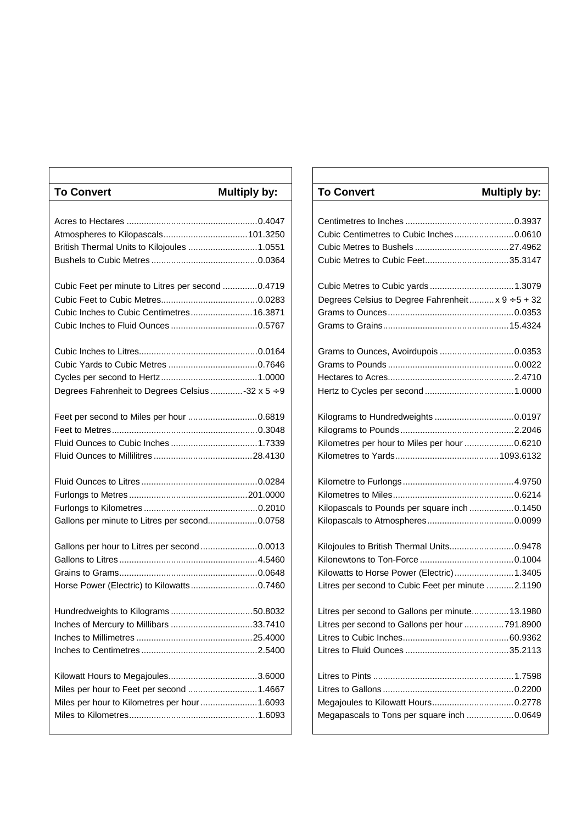| <b>To Convert</b>                                 | <b>Multiply by:</b> | <b>To Convert</b>                                 | <b>Multiply by:</b> |
|---------------------------------------------------|---------------------|---------------------------------------------------|---------------------|
|                                                   |                     |                                                   |                     |
|                                                   |                     |                                                   |                     |
|                                                   |                     |                                                   |                     |
| British Thermal Units to Kilojoules  1.0551       |                     |                                                   |                     |
|                                                   |                     |                                                   |                     |
| Cubic Feet per minute to Litres per second 0.4719 |                     |                                                   |                     |
|                                                   |                     | Degrees Celsius to Degree Fahrenheit x 9 ÷ 5 + 32 |                     |
| Cubic Inches to Cubic Centimetres16.3871          |                     |                                                   |                     |
|                                                   |                     |                                                   |                     |
|                                                   |                     |                                                   |                     |
|                                                   |                     |                                                   |                     |
|                                                   |                     |                                                   |                     |
| Degrees Fahrenheit to Degrees Celsius -32 x 5 ÷ 9 |                     |                                                   |                     |
|                                                   |                     |                                                   |                     |
|                                                   |                     |                                                   |                     |
|                                                   |                     | Kilometres per hour to Miles per hour 0.6210      |                     |
|                                                   |                     |                                                   |                     |
|                                                   |                     |                                                   |                     |
|                                                   |                     |                                                   |                     |
|                                                   |                     | Kilopascals to Pounds per square inch  0.1450     |                     |
| Gallons per minute to Litres per second0.0758     |                     |                                                   |                     |
| Gallons per hour to Litres per second0.0013       |                     | Kilojoules to British Thermal Units0.9478         |                     |
|                                                   |                     |                                                   |                     |
|                                                   |                     | Kilowatts to Horse Power (Electric) 1.3405        |                     |
| Horse Power (Electric) to Kilowatts0.7460         |                     | Litres per second to Cubic Feet per minute 2.1190 |                     |
|                                                   |                     | Litres per second to Gallons per minute 13.1980   |                     |
| Inches of Mercury to Millibars 33.7410            |                     | Litres per second to Gallons per hour 791.8900    |                     |
|                                                   |                     |                                                   |                     |
|                                                   |                     |                                                   |                     |
|                                                   |                     |                                                   |                     |
| Miles per hour to Feet per second 1.4667          |                     |                                                   |                     |
| Miles per hour to Kilometres per hour 1.6093      |                     |                                                   |                     |
|                                                   |                     | Megapascals to Tons per square inch 0.0649        |                     |
|                                                   |                     |                                                   |                     |

| <b>To Convert</b>                                 | <b>Multiply by:</b> |
|---------------------------------------------------|---------------------|
|                                                   |                     |
|                                                   |                     |
|                                                   |                     |
|                                                   |                     |
|                                                   |                     |
|                                                   |                     |
| Degrees Celsius to Degree Fahrenheit x 9 ÷ 5 + 32 |                     |
|                                                   |                     |
|                                                   |                     |
|                                                   |                     |
|                                                   |                     |
|                                                   |                     |
|                                                   |                     |
|                                                   |                     |
|                                                   |                     |
| Kilometres per hour to Miles per hour 0.6210      |                     |
|                                                   |                     |
|                                                   |                     |
|                                                   |                     |
| Kilopascals to Pounds per square inch  0.1450     |                     |
|                                                   |                     |
| Kilojoules to British Thermal Units 0.9478        |                     |
|                                                   |                     |
| Kilowatts to Horse Power (Electric) 1.3405        |                     |
| Litres per second to Cubic Feet per minute 2.1190 |                     |
| Litres per second to Gallons per minute13.1980    |                     |
| Litres per second to Gallons per hour 791.8900    |                     |
|                                                   |                     |
|                                                   |                     |
|                                                   |                     |
|                                                   |                     |
|                                                   |                     |
| Megapascals to Tons per square inch  0.0649       |                     |
|                                                   |                     |